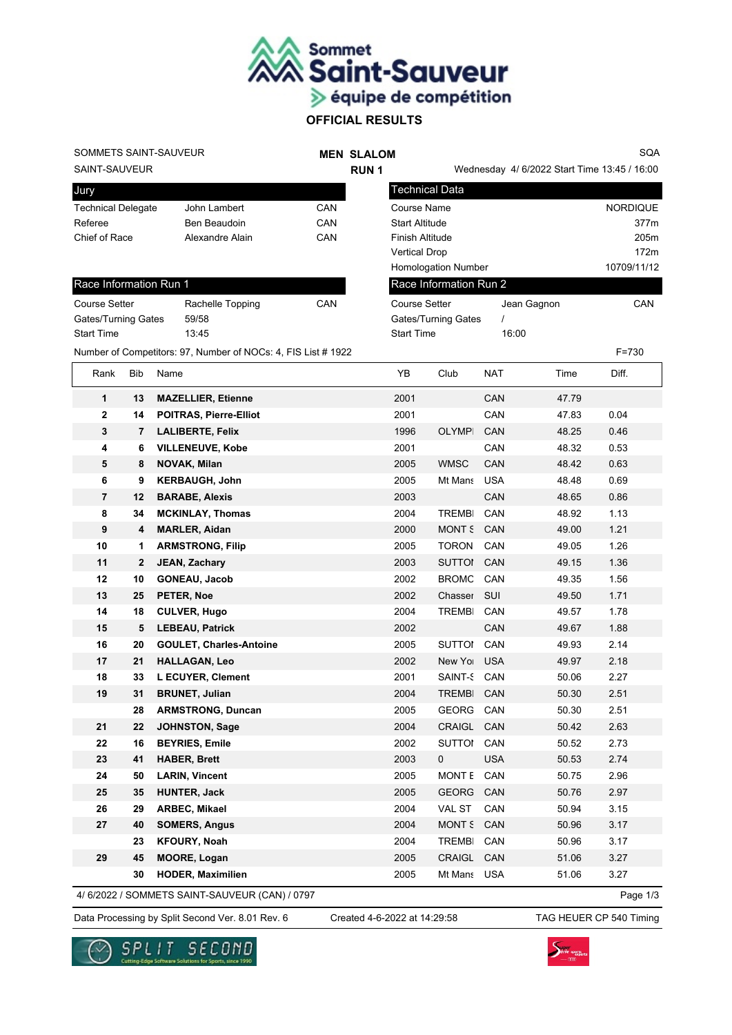

Technical Data

Course Setter

Gates/Turning Gates / Start Time 16:00

Race Information Run 2

# **OFFICIAL RESULTS**

# SOMMETS SAINT-SAUVEUR

### **MEN SLALOM RUN 1**

Wednesday 4/ 6/2022 Start Time 13:45 / 16:00

Jean Gagnon CAN

Course Name North Course Name NORDIQUE Start Altitude 377m Finish Altitude 205m Vertical Drop 172m Homologation Number 10709/11/12

SQA

SAINT-SAUVEUR

Jury

| <b>JULY</b>               |                 |     |
|---------------------------|-----------------|-----|
| <b>Technical Delegate</b> | John Lambert    | CAN |
| Referee                   | Ben Beaudoin    | CAN |
| Chief of Race             | Alexandre Alain | CAN |
|                           |                 |     |

| Race Information Run 1     |                  |     |  |  |  |
|----------------------------|------------------|-----|--|--|--|
| <b>Course Setter</b>       | Rachelle Topping | CAN |  |  |  |
| <b>Gates/Turning Gates</b> | 59/58            |     |  |  |  |
| <b>Start Time</b>          | 13.45            |     |  |  |  |

Number of Competitors: 97, Number of NOCs: 4, FIS List # 1922 F=730

| Rank           | Bib            | Name                           | YB   | Club          | <b>NAT</b> | Time  | Diff. |
|----------------|----------------|--------------------------------|------|---------------|------------|-------|-------|
| $\mathbf{1}$   | 13             | <b>MAZELLIER, Etienne</b>      | 2001 |               | CAN        | 47.79 |       |
| $\mathbf{2}$   | 14             | <b>POITRAS, Pierre-Elliot</b>  | 2001 |               | CAN        | 47.83 | 0.04  |
| 3              | $\overline{7}$ | <b>LALIBERTE, Felix</b>        | 1996 | <b>OLYMPI</b> | CAN        | 48.25 | 0.46  |
| 4              | 6              | <b>VILLENEUVE, Kobe</b>        | 2001 |               | CAN        | 48.32 | 0.53  |
| 5              | 8              | <b>NOVAK, Milan</b>            | 2005 | <b>WMSC</b>   | CAN        | 48.42 | 0.63  |
| 6              | 9              | <b>KERBAUGH, John</b>          | 2005 | Mt Mans       | <b>USA</b> | 48.48 | 0.69  |
| $\overline{7}$ | 12             | <b>BARABE, Alexis</b>          | 2003 |               | CAN        | 48.65 | 0.86  |
| 8              | 34             | <b>MCKINLAY, Thomas</b>        | 2004 | <b>TREMBI</b> | CAN        | 48.92 | 1.13  |
| 9              | 4              | <b>MARLER, Aidan</b>           | 2000 | MONT S        | CAN        | 49.00 | 1.21  |
| 10             | 1              | <b>ARMSTRONG, Filip</b>        | 2005 | <b>TORON</b>  | CAN        | 49.05 | 1.26  |
| 11             | $\mathbf{2}$   | JEAN, Zachary                  | 2003 | <b>SUTTOI</b> | CAN        | 49.15 | 1.36  |
| 12             | 10             | <b>GONEAU, Jacob</b>           | 2002 | <b>BROMC</b>  | CAN        | 49.35 | 1.56  |
| 13             | 25             | PETER, Noe                     | 2002 | Chasser       | SUI        | 49.50 | 1.71  |
| 14             | 18             | <b>CULVER, Hugo</b>            | 2004 | <b>TREMBI</b> | CAN        | 49.57 | 1.78  |
| 15             | 5              | <b>LEBEAU, Patrick</b>         | 2002 |               | CAN        | 49.67 | 1.88  |
| 16             | 20             | <b>GOULET, Charles-Antoine</b> | 2005 | <b>SUTTOI</b> | CAN        | 49.93 | 2.14  |
| 17             | 21             | <b>HALLAGAN, Leo</b>           | 2002 | New Yor       | <b>USA</b> | 49.97 | 2.18  |
| 18             | 33             | L ECUYER, Clement              | 2001 | SAINT-S       | CAN        | 50.06 | 2.27  |
| 19             | 31             | <b>BRUNET, Julian</b>          | 2004 | <b>TREMBI</b> | CAN        | 50.30 | 2.51  |
|                | 28             | <b>ARMSTRONG, Duncan</b>       | 2005 | GEORG CAN     |            | 50.30 | 2.51  |
| 21             | 22             | <b>JOHNSTON, Sage</b>          | 2004 | <b>CRAIGL</b> | CAN        | 50.42 | 2.63  |
| 22             | 16             | <b>BEYRIES, Emile</b>          | 2002 | SUTTOI        | CAN        | 50.52 | 2.73  |
| 23             | 41             | <b>HABER, Brett</b>            | 2003 | $\mathbf 0$   | <b>USA</b> | 50.53 | 2.74  |
| 24             | 50             | <b>LARIN, Vincent</b>          | 2005 | <b>MONTE</b>  | CAN        | 50.75 | 2.96  |
| 25             | 35             | <b>HUNTER, Jack</b>            | 2005 | <b>GEORG</b>  | CAN        | 50.76 | 2.97  |
| 26             | 29             | ARBEC, Mikael                  | 2004 | VAL ST        | CAN        | 50.94 | 3.15  |
| 27             | 40             | <b>SOMERS, Angus</b>           | 2004 | MONT S        | CAN        | 50.96 | 3.17  |
|                | 23             | <b>KFOURY, Noah</b>            | 2004 | <b>TREMBI</b> | CAN        | 50.96 | 3.17  |
| 29             | 45             | <b>MOORE, Logan</b>            | 2005 | <b>CRAIGL</b> | CAN        | 51.06 | 3.27  |
|                | 30             | <b>HODER, Maximilien</b>       | 2005 | Mt Mans USA   |            | 51.06 | 3.27  |

4/ 6/2022 / SOMMETS SAINT-SAUVEUR (CAN) / 0797

Page 1/3

Data Processing by Split Second Ver. 8.01 Rev. 6 Created 4-6-2022 at 14:29:58 TAG HEUER CP 540 Timing

Created 4-6-2022 at 14:29:58



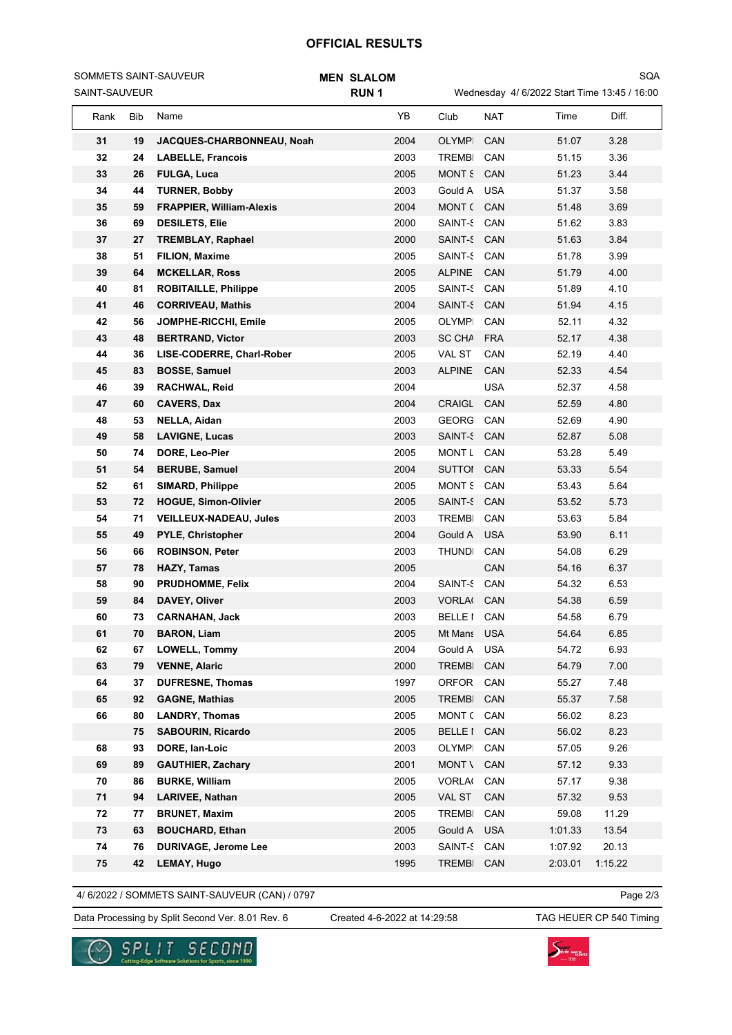## **OFFICIAL RESULTS**

SAINT-SAUVEUR SOMMETS SAINT-SAUVEUR

#### **MEN SLALOM RUN 1**

Wednesday 4/ 6/2022 Start Time 13:45 / 16:00

SQA

| Rank     | Bib      | Name                                            | YB           | Club                          | NAT               | Time           | Diff.        |  |
|----------|----------|-------------------------------------------------|--------------|-------------------------------|-------------------|----------------|--------------|--|
| 31       | 19       | JACQUES-CHARBONNEAU, Noah                       | 2004         | <b>OLYMPI</b>                 | CAN               | 51.07          | 3.28         |  |
| 32       | 24       | <b>LABELLE, Francois</b>                        | 2003         | <b>TREMBI</b>                 | CAN               | 51.15          | 3.36         |  |
| 33       | 26       | <b>FULGA, Luca</b>                              | 2005         | MONT 5                        | CAN               | 51.23          | 3.44         |  |
| 34       | 44       | <b>TURNER, Bobby</b>                            | 2003         | Gould A                       | <b>USA</b>        | 51.37          | 3.58         |  |
| 35       | 59       | <b>FRAPPIER, William-Alexis</b>                 | 2004         | MONT (                        | CAN               | 51.48          | 3.69         |  |
| 36       | 69       | <b>DESILETS, Elie</b>                           | 2000         | SAINT-S                       | CAN               | 51.62          | 3.83         |  |
| 37       | 27       | <b>TREMBLAY, Raphael</b>                        | 2000         | SAINT-S                       | CAN               | 51.63          | 3.84         |  |
| 38       | 51       | <b>FILION, Maxime</b>                           | 2005         | <b>SAINT-S</b>                | CAN               | 51.78          | 3.99         |  |
| 39       | 64       | <b>MCKELLAR, Ross</b>                           | 2005         | <b>ALPINE</b>                 | CAN               | 51.79          | 4.00         |  |
| 40       | 81       | <b>ROBITAILLE, Philippe</b>                     | 2005         | SAINT-S                       | CAN               | 51.89          | 4.10         |  |
| 41       | 46       | <b>CORRIVEAU, Mathis</b>                        | 2004         | SAINT-S                       | CAN               | 51.94          | 4.15         |  |
| 42       | 56       | JOMPHE-RICCHI, Emile                            | 2005         | <b>OLYMPI</b>                 | CAN               | 52.11          | 4.32         |  |
| 43       | 48       | <b>BERTRAND, Victor</b>                         | 2003         | <b>SC CHA</b>                 | <b>FRA</b>        | 52.17          | 4.38         |  |
| 44       | 36       | LISE-CODERRE, Charl-Rober                       | 2005         | <b>VAL ST</b>                 | CAN               | 52.19          | 4.40         |  |
| 45       | 83       | <b>BOSSE, Samuel</b>                            | 2003         | <b>ALPINE</b>                 | CAN               | 52.33          | 4.54         |  |
| 46       | 39       | RACHWAL, Reid                                   | 2004         |                               | <b>USA</b>        | 52.37          | 4.58         |  |
| 47       | 60       | <b>CAVERS, Dax</b>                              | 2004         | <b>CRAIGL</b>                 | CAN               | 52.59          | 4.80         |  |
| 48       | 53       | NELLA, Aidan                                    | 2003         | GEORG                         | CAN               | 52.69          | 4.90         |  |
| 49       | 58       | <b>LAVIGNE, Lucas</b>                           | 2003         | SAINT-S CAN                   |                   | 52.87          | 5.08         |  |
| 50       | 74       | DORE, Leo-Pier                                  | 2005         | <b>MONT L</b>                 | CAN               | 53.28          | 5.49         |  |
| 51       | 54       | <b>BERUBE, Samuel</b>                           | 2004         | <b>SUTTOI</b>                 | CAN               | 53.33          | 5.54         |  |
| 52       | 61       | <b>SIMARD, Philippe</b>                         | 2005         | <b>MONT S</b>                 | CAN               | 53.43          | 5.64         |  |
| 53       | 72       | <b>HOGUE, Simon-Olivier</b>                     | 2005         | SAINT-S                       | CAN               | 53.52          | 5.73         |  |
| 54       | 71       | <b>VEILLEUX-NADEAU, Jules</b>                   | 2003         | TREMBI                        | CAN               | 53.63          | 5.84         |  |
| 55       | 49       | <b>PYLE, Christopher</b>                        | 2004         | Gould A                       | <b>USA</b>        | 53.90          | 6.11         |  |
| 56       | 66       | <b>ROBINSON, Peter</b>                          | 2003         | <b>THUNDI</b>                 | CAN               | 54.08          | 6.29         |  |
| 57       | 78       | HAZY, Tamas                                     | 2005         |                               | CAN               | 54.16          | 6.37         |  |
| 58       | 90       | PRUDHOMME, Felix                                | 2004         | SAINT-S                       | CAN               | 54.32          | 6.53         |  |
| 59       | 84       | DAVEY, Oliver                                   | 2003         | <b>VORLA(</b>                 | CAN               | 54.38          | 6.59         |  |
| 60       | 73       | <b>CARNAHAN, Jack</b>                           | 2003         | BELLE I                       | CAN               | 54.58          | 6.79         |  |
| 61       | 70       | <b>BARON, Liam</b>                              | 2005         | Mt Mans USA                   |                   | 54.64          | 6.85         |  |
| 62       | 67<br>79 | LOWELL, Tommy                                   | 2004         | Gould A                       | <b>USA</b><br>CAN | 54.72<br>54.79 | 6.93<br>7.00 |  |
| 63<br>64 | 37       | <b>VENNE, Alaric</b><br><b>DUFRESNE, Thomas</b> | 2000<br>1997 | <b>TREMBI</b><br><b>ORFOR</b> | CAN               | 55.27          | 7.48         |  |
| 65       | 92       | <b>GAGNE, Mathias</b>                           | 2005         | <b>TREMBI</b>                 | CAN               | 55.37          | 7.58         |  |
| 66       | 80       | <b>LANDRY, Thomas</b>                           | 2005         | MONT (                        | CAN               | 56.02          | 8.23         |  |
|          | 75       | <b>SABOURIN, Ricardo</b>                        | 2005         | <b>BELLE</b> I                | CAN               | 56.02          | 8.23         |  |
| 68       | 93       | DORE, Ian-Loic                                  | 2003         | OLYMPI                        | CAN               | 57.05          | 9.26         |  |
| 69       | 89       | <b>GAUTHIER, Zachary</b>                        | 2001         | MONT \                        | CAN               | 57.12          | 9.33         |  |
| 70       | 86       | <b>BURKE, William</b>                           | 2005         | <b>VORLA(</b>                 | CAN               | 57.17          | 9.38         |  |
| 71       | 94       | <b>LARIVEE, Nathan</b>                          | 2005         | VAL ST                        | CAN               | 57.32          | 9.53         |  |
| 72       | 77       | <b>BRUNET, Maxim</b>                            | 2005         | <b>TREMBI</b>                 | CAN               | 59.08          | 11.29        |  |
| 73       | 63       | <b>BOUCHARD, Ethan</b>                          | 2005         | Gould A                       | <b>USA</b>        | 1:01.33        | 13.54        |  |
| 74       | 76       | <b>DURIVAGE, Jerome Lee</b>                     | 2003         | SAINT-S                       | CAN               | 1:07.92        | 20.13        |  |
| 75       | 42       | <b>LEMAY, Hugo</b>                              | 1995         | <b>TREMBI</b>                 | CAN               | 2:03.01        | 1:15.22      |  |
|          |          |                                                 |              |                               |                   |                |              |  |

4/ 6/2022 / SOMMETS SAINT-SAUVEUR (CAN) / 0797

Data Processing by Split Second Ver. 8.01 Rev. 6 Created 4-6-2022 at 14:29:58 TAG HEUER CP 540 Timing Created 4-6-2022 at 14:29:58

Page 2/3